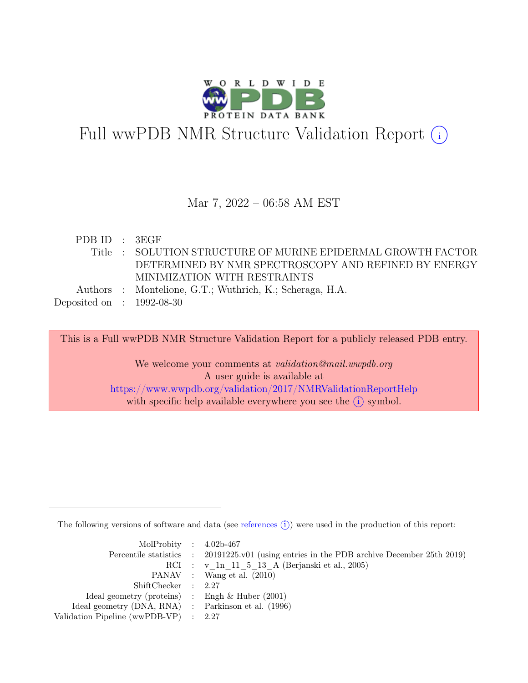

# Full wwPDB NMR Structure Validation Report (i)

#### Mar 7, 2022 – 06:58 AM EST

| PDBID : 3EGF              |                                                              |
|---------------------------|--------------------------------------------------------------|
|                           | Title : SOLUTION STRUCTURE OF MURINE EPIDERMAL GROWTH FACTOR |
|                           | DETERMINED BY NMR SPECTROSCOPY AND REFINED BY ENERGY         |
|                           | MINIMIZATION WITH RESTRAINTS                                 |
|                           | Authors : Montelione, G.T.; Wuthrich, K.; Scheraga, H.A.     |
| Deposited on : 1992-08-30 |                                                              |

This is a Full wwPDB NMR Structure Validation Report for a publicly released PDB entry.

We welcome your comments at *validation@mail.wwpdb.org* A user guide is available at <https://www.wwpdb.org/validation/2017/NMRValidationReportHelp> with specific help available everywhere you see the  $(i)$  symbol.

The following versions of software and data (see [references](https://www.wwpdb.org/validation/2017/NMRValidationReportHelp#references)  $\hat{I}$ ) were used in the production of this report:

| MolProbity : $4.02b-467$                            |                                                                                            |
|-----------------------------------------------------|--------------------------------------------------------------------------------------------|
|                                                     | Percentile statistics : 20191225.v01 (using entries in the PDB archive December 25th 2019) |
|                                                     | RCI : v 1n 11 5 13 A (Berjanski et al., 2005)                                              |
|                                                     | PANAV : Wang et al. (2010)                                                                 |
| ShiftChecker : 2.27                                 |                                                                                            |
| Ideal geometry (proteins) : Engh $\&$ Huber (2001)  |                                                                                            |
| Ideal geometry (DNA, RNA) : Parkinson et al. (1996) |                                                                                            |
| Validation Pipeline (wwPDB-VP) : $2.27$             |                                                                                            |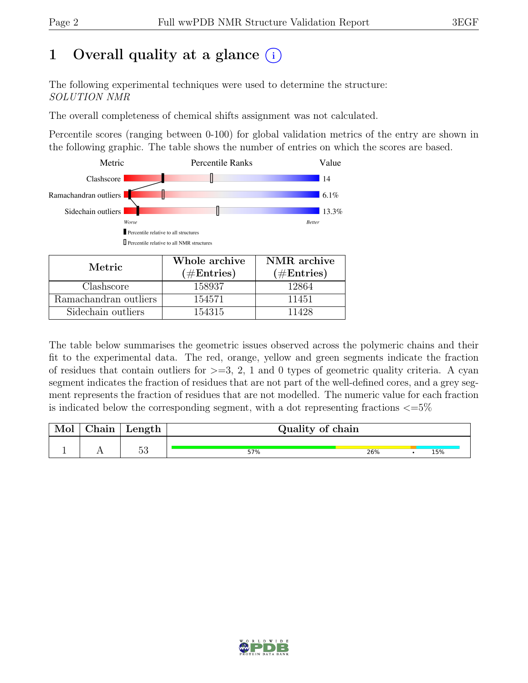## 1 Overall quality at a glance  $(i)$

The following experimental techniques were used to determine the structure: SOLUTION NMR

The overall completeness of chemical shifts assignment was not calculated.

Percentile scores (ranging between 0-100) for global validation metrics of the entry are shown in the following graphic. The table shows the number of entries on which the scores are based.



| Metric.               | Whole archive<br>$(\#Entries)$ | NMR archive<br>$(\#Entries)$ |
|-----------------------|--------------------------------|------------------------------|
| Clashscore            | 158937                         | 12864                        |
| Ramachandran outliers | 154571                         | 11451                        |
| Sidechain outliers    | 154315                         | 11428                        |

The table below summarises the geometric issues observed across the polymeric chains and their fit to the experimental data. The red, orange, yellow and green segments indicate the fraction of residues that contain outliers for  $>=$  3, 2, 1 and 0 types of geometric quality criteria. A cyan segment indicates the fraction of residues that are not part of the well-defined cores, and a grey segment represents the fraction of residues that are not modelled. The numeric value for each fraction is indicated below the corresponding segment, with a dot representing fractions  $\langle=5\%$ 

| Mol | ${\rm Chain}$ | Length $ $ | Quality of chain |     |  |     |  |  |
|-----|---------------|------------|------------------|-----|--|-----|--|--|
|     |               | Ε9<br>ಀಀ   | 57%              | 26% |  | 15% |  |  |

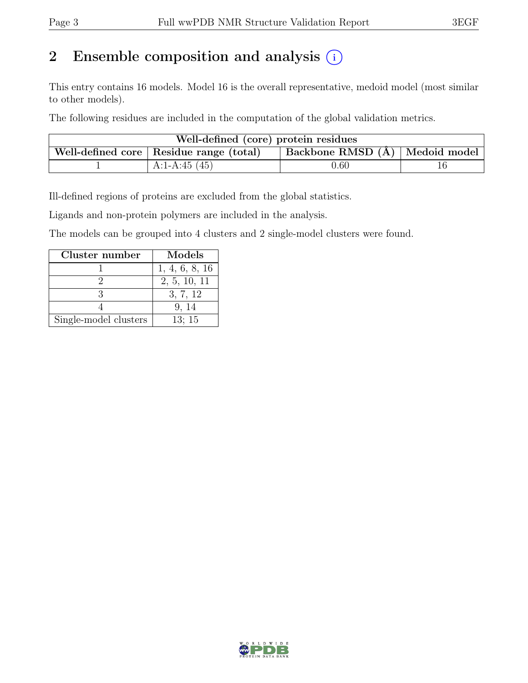## 2 Ensemble composition and analysis  $(i)$

This entry contains 16 models. Model 16 is the overall representative, medoid model (most similar to other models).

The following residues are included in the computation of the global validation metrics.

| Well-defined (core) protein residues |                                                                             |          |  |  |  |  |  |
|--------------------------------------|-----------------------------------------------------------------------------|----------|--|--|--|--|--|
|                                      | Backbone RMSD (Å) Medoid model<br>Well-defined core   Residue range (total) |          |  |  |  |  |  |
|                                      | A:1-A:45 $(45)$                                                             | $0.60\,$ |  |  |  |  |  |

Ill-defined regions of proteins are excluded from the global statistics.

Ligands and non-protein polymers are included in the analysis.

The models can be grouped into 4 clusters and 2 single-model clusters were found.

| Cluster number        | Models         |
|-----------------------|----------------|
|                       | 1, 4, 6, 8, 16 |
|                       | 2, 5, 10, 11   |
|                       | 3, 7, 12       |
|                       | 9, 14          |
| Single-model clusters | 13:15          |

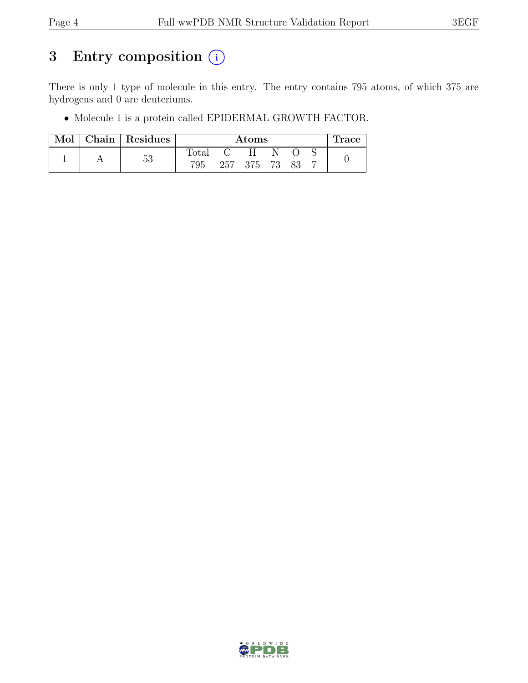## 3 Entry composition  $(i)$

There is only 1 type of molecule in this entry. The entry contains 795 atoms, of which 375 are hydrogens and 0 are deuteriums.

• Molecule 1 is a protein called EPIDERMAL GROWTH FACTOR.

| Mol | $\vert$ Chain $\vert$ Residues | Atoms          |  |               |    |  |  | race |
|-----|--------------------------------|----------------|--|---------------|----|--|--|------|
|     |                                | $\text{Total}$ |  | H             | N. |  |  |      |
|     | 53                             | 795            |  | 257 375 73 83 |    |  |  |      |

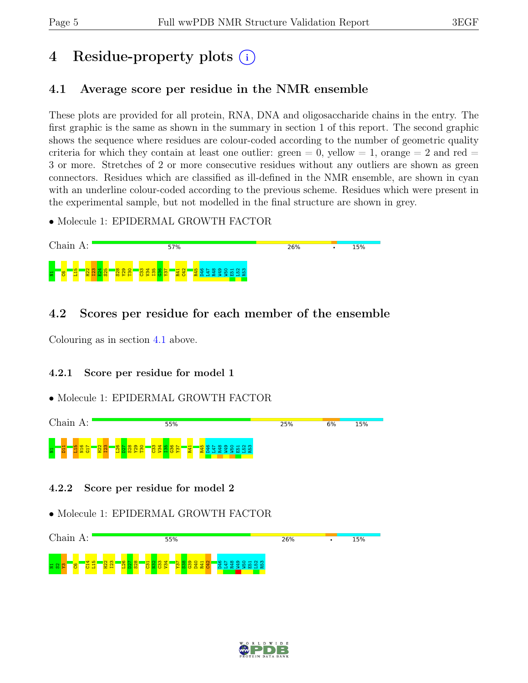## 4 Residue-property plots (i)

## <span id="page-4-0"></span>4.1 Average score per residue in the NMR ensemble

These plots are provided for all protein, RNA, DNA and oligosaccharide chains in the entry. The first graphic is the same as shown in the summary in section 1 of this report. The second graphic shows the sequence where residues are colour-coded according to the number of geometric quality criteria for which they contain at least one outlier:  $green = 0$ ,  $yellow = 1$ ,  $orange = 2$  and  $red =$ 3 or more. Stretches of 2 or more consecutive residues without any outliers are shown as green connectors. Residues which are classified as ill-defined in the NMR ensemble, are shown in cyan with an underline colour-coded according to the previous scheme. Residues which were present in the experimental sample, but not modelled in the final structure are shown in grey.

• Molecule 1: EPIDERMAL GROWTH FACTOR



### 4.2 Scores per residue for each member of the ensemble

Colouring as in section [4.1](#page-4-0) above.

#### 4.2.1 Score per residue for model 1

#### • Molecule 1: EPIDERMAL GROWTH FACTOR



4.2.2 Score per residue for model 2



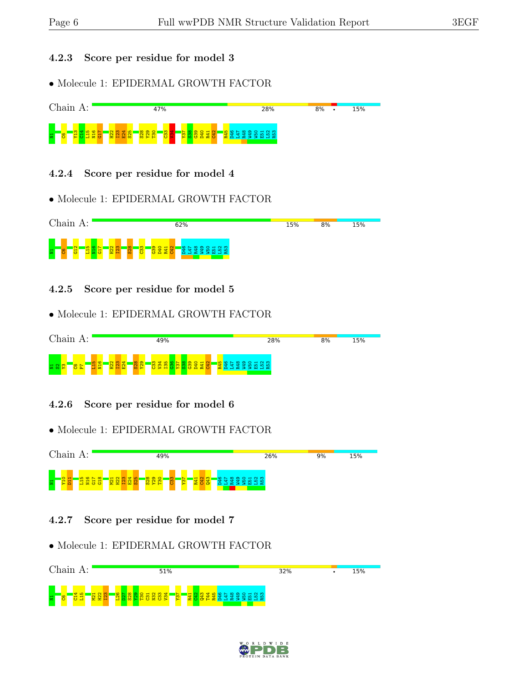#### 4.2.3 Score per residue for model 3

• Molecule 1: EPIDERMAL GROWTH FACTOR



#### 4.2.4 Score per residue for model 4

• Molecule 1: EPIDERMAL GROWTH FACTOR



4.2.5 Score per residue for model 5

#### • Molecule 1: EPIDERMAL GROWTH FACTOR



#### 4.2.6 Score per residue for model 6

#### • Molecule 1: EPIDERMAL GROWTH FACTOR



#### 4.2.7 Score per residue for model 7



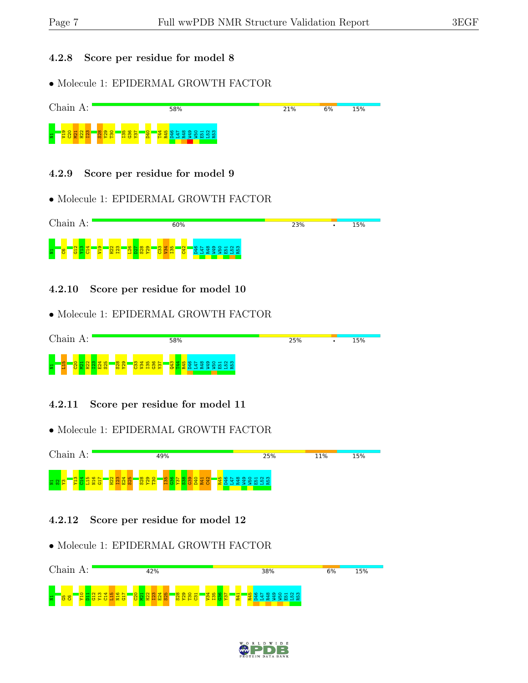#### 4.2.8 Score per residue for model 8

• Molecule 1: EPIDERMAL GROWTH FACTOR



#### 4.2.9 Score per residue for model 9

• Molecule 1: EPIDERMAL GROWTH FACTOR



4.2.10 Score per residue for model 10

• Molecule 1: EPIDERMAL GROWTH FACTOR



4.2.11 Score per residue for model 11

• Molecule 1: EPIDERMAL GROWTH FACTOR



#### 4.2.12 Score per residue for model 12



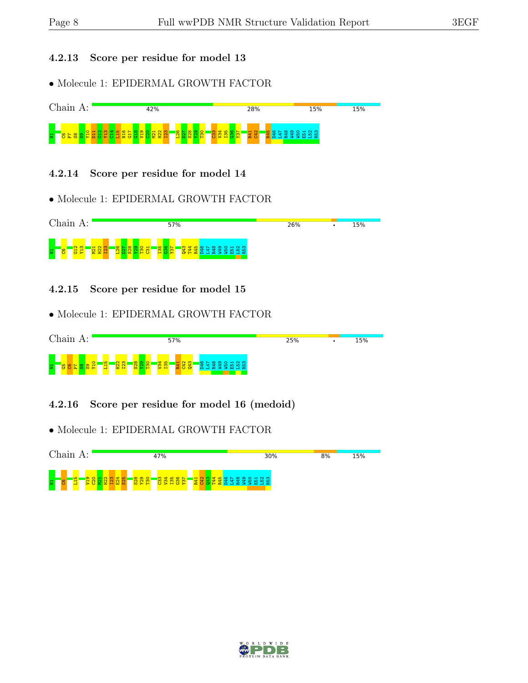#### 4.2.13 Score per residue for model 13

• Molecule 1: EPIDERMAL GROWTH FACTOR



#### 4.2.14 Score per residue for model 14

• Molecule 1: EPIDERMAL GROWTH FACTOR



4.2.15 Score per residue for model 15

• Molecule 1: EPIDERMAL GROWTH FACTOR



4.2.16 Score per residue for model 16 (medoid)



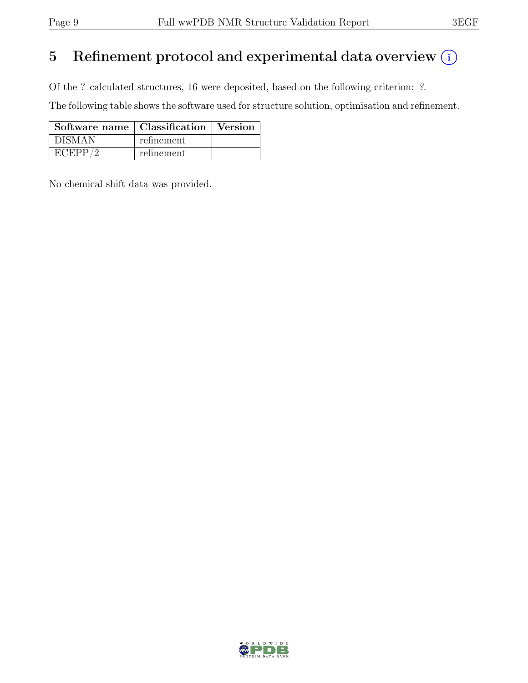## 5 Refinement protocol and experimental data overview  $(i)$

Of the ? calculated structures, 16 were deposited, based on the following criterion: ?.

The following table shows the software used for structure solution, optimisation and refinement.

| Software name   Classification   Version |            |  |
|------------------------------------------|------------|--|
| ' DISMAN                                 | refinement |  |
| ECEPP/2                                  | refinement |  |

No chemical shift data was provided.

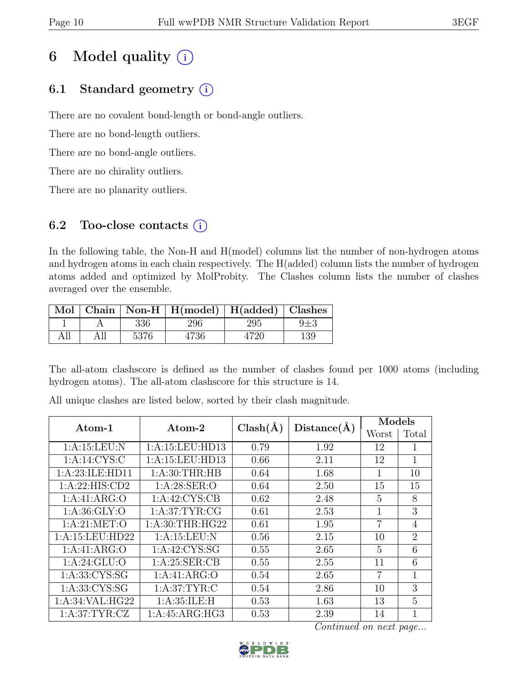## 6 Model quality  $(i)$

## 6.1 Standard geometry  $(i)$

There are no covalent bond-length or bond-angle outliers.

There are no bond-length outliers.

There are no bond-angle outliers.

There are no chirality outliers.

There are no planarity outliers.

### 6.2 Too-close contacts  $(i)$

In the following table, the Non-H and H(model) columns list the number of non-hydrogen atoms and hydrogen atoms in each chain respectively. The H(added) column lists the number of hydrogen atoms added and optimized by MolProbity. The Clashes column lists the number of clashes averaged over the ensemble.

|      |      |      | Mol   Chain   Non-H   H(model)   H(added)   Clashes |      |     |
|------|------|------|-----------------------------------------------------|------|-----|
|      |      | 336  | 296                                                 | 295  |     |
| A 11 | A 11 | 5376 | 4736                                                | 1720 | 139 |

The all-atom clashscore is defined as the number of clashes found per 1000 atoms (including hydrogen atoms). The all-atom clashscore for this structure is 14.

| Atom-1            | Atom-2           | $Clash(\AA)$ | Distance(A) | Models |                |  |
|-------------------|------------------|--------------|-------------|--------|----------------|--|
|                   |                  |              |             | Worst  | Total          |  |
| 1:A:15:LEU:N      | 1:A:15:LEU:HD13  | 0.79         | 1.92        | 12     | 1              |  |
| 1: A:14: CYS:C    | 1:A:15:LEU:HD13  | 0.66         | 2.11        | 12     | 1              |  |
| 1:A:23:ILE:HD11   | 1: A:30:THR:HB   | 0.64         | 1.68        | 1      | 10             |  |
| 1:A:22:HIS:CD2    | 1: A:28: SER:O   | 0.64         | 2.50        | 15     | 15             |  |
| 1:A:41:ARG:O      | 1: A:42: CYS:CB  | 0.62         | 2.48        | 5      | 8              |  |
| 1: A:36: GLY:O    | 1: A:37:TYR:CG   | 0.61         | 2.53        | 1      | 3              |  |
| 1: A:21: MET:O    | 1: A:30:THR:HG22 | 0.61         | 1.95        | 7      | $\overline{4}$ |  |
| 1:A:15:LEU:HD22   | 1: A:15:LEU: N   | 0.56         | 2.15        | 10     | $\overline{2}$ |  |
| 1:A:41:ARG:O      | $1:$ A:42:CYS:SG | 0.55         | 2.65        | 5      | 6              |  |
| 1: A:24: GLU:O    | 1: A:25: SER:CB  | 0.55         | 2.55        | 11     | 6              |  |
| 1: A: 33: CYS: SG | 1:A:41:ARG:O     | 0.54         | 2.65        | 7      | 1              |  |
| 1: A: 33: CYS: SG | 1: A:37:TYR:C    | 0.54         | 2.86        | 10     | 3              |  |
| 1:A:34:VAL:HG22   | 1: A:35: ILE:H   | 0.53         | 1.63        | 13     | $\overline{5}$ |  |
| 1: A:37:TYR:CZ    | 1:A:45:ARG:HG3   | 0.53         | 2.39        | 14     | 1              |  |

All unique clashes are listed below, sorted by their clash magnitude.

Continued on next page...

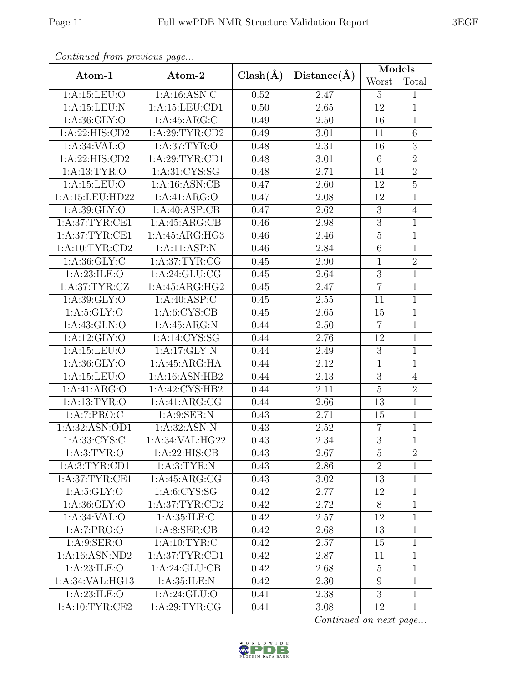|--|

| Continuea from previous page |                  |              |             | Models          |                |  |
|------------------------------|------------------|--------------|-------------|-----------------|----------------|--|
| Atom-1                       | Atom-2           | $Clash(\AA)$ | Distance(A) | Worst           | Total          |  |
| 1:A:15:LEU:O                 | 1:A:16:ASN:C     | 0.52         | 2.47        | $\overline{5}$  | $\mathbf{1}$   |  |
| 1:A:15:LEU:N                 | 1:A:15:LEU:CD1   | 0.50         | 2.65        | 12              | $\mathbf{1}$   |  |
| 1: A:36: GLY:O               | 1: A:45: ARG: C  | 0.49         | 2.50        | 16              | $\mathbf{1}$   |  |
| 1:A:22:HIS:CD2               | 1: A:29:TYR:CD2  | 0.49         | 3.01        | 11              | 6              |  |
| 1: A:34:VAL:                 | 1: A:37:TYR:O    | 0.48         | 2.31        | 16              | $\overline{3}$ |  |
| 1: A:22: HIS: CD2            | 1: A:29:TYR:CD1  | 0.48         | 3.01        | 6               | $\overline{2}$ |  |
| 1: A: 13: TYR: O             | 1: A:31: CYS:SG  | 0.48         | 2.71        | 14              | $\overline{2}$ |  |
| 1:A:15:LEU:O                 | 1:A:16:ASN:CB    | 0.47         | 2.60        | 12              | $\overline{5}$ |  |
| 1:A:15:LEU:HD22              | 1:A:41:ARG:O     | 0.47         | 2.08        | 12              | $\mathbf{1}$   |  |
| 1: A:39: GLY:O               | 1:A:40:ASP:CB    | 0.47         | 2.62        | 3               | $\overline{4}$ |  |
| 1: A:37:TYR:CE1              | 1:A:45:ARG:CB    | 0.46         | 2.98        | $\overline{3}$  | $\overline{1}$ |  |
| 1: A:37:TYR:CE1              | 1:A:45:ARG:HG3   | 0.46         | 2.46        | $\mathbf 5$     | $\mathbf{1}$   |  |
| 1: A: 10: TYR: CD2           | 1:A:11:ASP:N     | 0.46         | 2.84        | $6\phantom{.}6$ | $\mathbf{1}$   |  |
| 1: A:36: GLY: C              | 1: A:37:TYR:CG   | 0.45         | 2.90        | $\mathbf{1}$    | $\overline{2}$ |  |
| 1: A:23: ILE: O              | 1: A:24: GLU:CG  | 0.45         | 2.64        | $\mathfrak{Z}$  | $\mathbf{1}$   |  |
| 1: A:37:TYR:CZ               | 1:A:45:ARG:HG2   | 0.45         | 2.47        | $\overline{7}$  | $\overline{1}$ |  |
| 1: A:39: GLY:O               | 1: A:40: ASP:C   | 0.45         | 2.55        | 11              | $\mathbf{1}$   |  |
| 1: A:5: GLY:O                | 1: A: 6: CYS: CB | 0.45         | 2.65        | 15              | $\mathbf{1}$   |  |
| 1:A:43:GLN:O                 | 1: A:45: ARG: N  | 0.44         | 2.50        | $\overline{7}$  | $\mathbf{1}$   |  |
| 1:A:12:GLY:O                 | 1:A:14:CYS:SG    | 0.44         | 2.76        | 12              | $\mathbf{1}$   |  |
| 1:A:15:LEU:O                 | 1:A:17:GLY:N     | 0.44         | 2.49        | $\overline{3}$  | $\overline{1}$ |  |
| 1: A:36: GLY:O               | 1:A:45:ARG:HA    | 0.44         | 2.12        | $\mathbf{1}$    | $\mathbf{1}$   |  |
| 1:A:15:LEU:O                 | 1:A:16:ASN:HB2   | 0.44         | 2.13        | $\overline{3}$  | $\overline{4}$ |  |
| 1:A:41:ARG:O                 | 1:A:42:CYS:HB2   | 0.44         | 2.11        | $\overline{5}$  | $\overline{2}$ |  |
| 1: A: 13: TYR: O             | 1:A:41:ARG:CG    | 0.44         | 2.66        | 13              | $\mathbf{1}$   |  |
| 1:A:7:PRO:C                  | 1: A:9: SER: N   | 0.43         | 2.71        | 15              | $\mathbf{1}$   |  |
| 1:A:32:ASN:OD1               | 1:A:32:ASN:N     | 0.43         | 2.52        | $\overline{7}$  | $\mathbf{1}$   |  |
| 1:A:33:CYS:C                 | 1:A:34:VAL:HG22  | 0.43         | 2.34        | $\overline{3}$  | $\overline{1}$ |  |
| 1: A:3: TYR:O                | 1:A:22:HIS:CB    | 0.43         | 2.67        | 5               | $\overline{2}$ |  |
| 1: A:3: TYR: CD1             | 1: A:3: TYR: N   | 0.43         | 2.86        | $\overline{2}$  | $\mathbf{1}$   |  |
| 1: A:37:TYR:CE1              | 1:A:45:ARG:CG    | 0.43         | 3.02        | 13              | $\mathbf{1}$   |  |
| 1: A:5: GLY:O                | 1: A:6:CYS:SG    | 0.42         | 2.77        | 12              | $\mathbf{1}$   |  |
| 1: A:36: GLY:O               | 1: A:37:TYR:CD2  | 0.42         | 2.72        | 8               | $\mathbf{1}$   |  |
| 1: A:34:VAL:                 | 1: A:35: ILE:C   | 0.42         | 2.57        | 12              | $\mathbf{1}$   |  |
| 1:A:7:PRO:O                  | 1: A: 8: SER: CB | 0.42         | 2.68        | 13              | $\mathbf{1}$   |  |
| 1: A:9: SER:O                | 1: A: 10: TYR: C | 0.42         | 2.57        | 15              | $\mathbf{1}$   |  |
| 1:A:16:ASN:ND2               | 1: A:37:TYR:CD1  | 0.42         | 2.87        | 11              | $\mathbf{1}$   |  |
| 1: A:23: ILE: O              | 1:A:24:GLU:CB    | 0.42         | 2.68        | $\overline{5}$  | $\mathbf{1}$   |  |
| 1:A:34:VAL:HG13              | 1: A:35: ILE:N   | 0.42         | 2.30        | 9               | $\mathbf{1}$   |  |
| 1:A:23:ILE:O                 | 1: A:24: GLU:O   | 0.41         | 2.38        | $\overline{3}$  | $\mathbf{1}$   |  |
| 1: A: 10: TYR: CE2           | 1: A:29:TYR:CG   | 0.41         | 3.08        | 12              | $\mathbf{1}$   |  |

Continued from previous page.

Continued on next page...

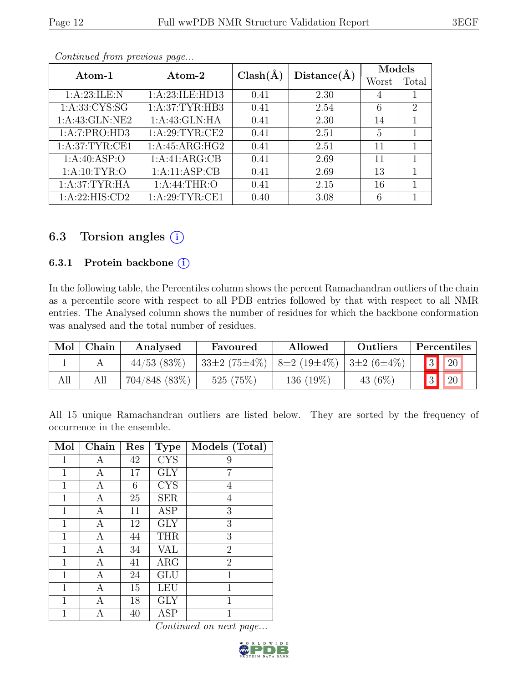| Atom-1          | Atom-2          | $Clash(\AA)$ |             | Models         |                             |
|-----------------|-----------------|--------------|-------------|----------------|-----------------------------|
|                 |                 |              | Distance(A) | Worst          | Total                       |
| 1:A:23:ILE:N    | 1:A:23:ILE:HD13 | 0.41         | 2.30        | 4              |                             |
| 1:A:33:CYS:SG   | 1: A:37:TYR:HB3 | 0.41         | 2.54        | 6              | $\mathcal{D}_{\mathcal{L}}$ |
| 1:A:43:GLN:NE2  | 1:A:43:GLN:HA   | 0.41         | 2.30        | 14             |                             |
| 1:A:7:PRO:HD3   | 1: A:29:TYR:CE2 | 0.41         | 2.51        | $\overline{5}$ |                             |
| 1: A:37:TYR:CE1 | 1:A:45:ARG:HG2  | 0.41         | 2.51        | 11             |                             |
| 1: A:40: ASP:O  | 1:A:41:ARG:CB   | 0.41         | 2.69        | 11             |                             |
| 1: A:10: TYR:O  | 1:A:11:ASP:CB   | 0.41         | 2.69        | 13             |                             |
| 1: A:37:TYR:HA  | 1: A:44:THR:O   | 0.41         | 2.15        | 16             |                             |
| 1:A:22:HIS:CD2  | 1: A:29:TYR:CE1 | 0.40         | 3.08        | 6              |                             |

Continued from previous page...

## 6.3 Torsion angles  $(i)$

#### 6.3.1 Protein backbone  $(i)$

In the following table, the Percentiles column shows the percent Ramachandran outliers of the chain as a percentile score with respect to all PDB entries followed by that with respect to all NMR entries. The Analysed column shows the number of residues for which the backbone conformation was analysed and the total number of residues.

| Mol | Chain | Analysed         | Favoured                                              | Allowed   | Outliers   | Percentiles           |  |
|-----|-------|------------------|-------------------------------------------------------|-----------|------------|-----------------------|--|
|     |       | $44/53$ (83\%)   | $33\pm2(75\pm4\%)$ $8\pm2(19\pm4\%)$ $3\pm2(6\pm4\%)$ |           |            | 3 <br> 20             |  |
| All |       | $704/848$ (83\%) | 525(75%)                                              | 136 (19%) | 43 $(6\%)$ | $\vert 3 \vert$<br>20 |  |

All 15 unique Ramachandran outliers are listed below. They are sorted by the frequency of occurrence in the ensemble.

| Mol          | Chain | Res | <b>Type</b> | Models (Total) |
|--------------|-------|-----|-------------|----------------|
| 1            | Α     | 42  | <b>CYS</b>  | 9              |
| 1            | Α     | 17  | <b>GLY</b>  | 7              |
| 1            | Α     | 6   | <b>CYS</b>  | 4              |
| 1            | Α     | 25  | <b>SER</b>  | 4              |
| 1            | А     | 11  | ASP         | 3              |
| 1            | А     | 12  | <b>GLY</b>  | 3              |
| $\mathbf{1}$ | Α     | 44  | <b>THR</b>  | 3              |
| 1            | А     | 34  | VAL         | $\overline{2}$ |
| 1            | Α     | 41  | $\rm{ARG}$  | $\overline{2}$ |
| $\mathbf{1}$ | А     | 24  | GLU         | $\mathbf{1}$   |
| 1            | Α     | 15  | LEU         | 1              |
| 1            | А     | 18  | GLY         | 1              |
|              | А     | 40  | ASP         | 1              |

Continued on next page...

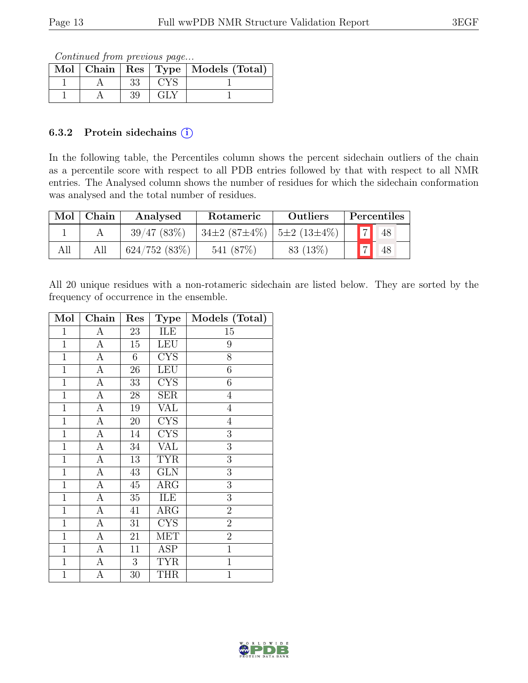Continued from previous page...

|  |    |            | Mol   Chain   Res   Type   Models (Total) |
|--|----|------------|-------------------------------------------|
|  | 33 | <b>CYS</b> |                                           |
|  | 39 | GLY        |                                           |

#### 6.3.2 Protein sidechains  $(i)$

In the following table, the Percentiles column shows the percent sidechain outliers of the chain as a percentile score with respect to all PDB entries followed by that with respect to all NMR entries. The Analysed column shows the number of residues for which the sidechain conformation was analysed and the total number of residues.

| Mol | Chain | Analysed           | Rotameric                              | Outliers  | Percentiles           |
|-----|-------|--------------------|----------------------------------------|-----------|-----------------------|
|     |       | 39/47(83%)         | $34\pm2(87\pm4\%)$   $5\pm2(13\pm4\%)$ |           | $\overline{7}$<br> 48 |
| All |       | $624/752$ $(83\%)$ | 541 (87\%)                             | 83 (13\%) | $\overline{L}$<br>48  |

All 20 unique residues with a non-rotameric sidechain are listed below. They are sorted by the frequency of occurrence in the ensemble.

| Mol            | Chain            | Res             | <b>Type</b>             | Models (Total)   |
|----------------|------------------|-----------------|-------------------------|------------------|
| $\mathbf 1$    | $\boldsymbol{A}$ | 23              | ILE                     | 15               |
| $\mathbf{1}$   | $\boldsymbol{A}$ | 15              | <b>LEU</b>              | $\boldsymbol{9}$ |
| $\overline{1}$ | $\overline{A}$   | 6               | $\overline{\text{CYS}}$ | $\overline{8}$   |
| $\overline{1}$ | $\overline{A}$   | 26              | LEU                     | $\overline{6}$   |
| $\mathbf 1$    | $\boldsymbol{A}$ | 33              | <b>CYS</b>              | $\boldsymbol{6}$ |
| $\overline{1}$ | $\overline{A}$   | 28              | <b>SER</b>              | $\overline{4}$   |
| $\mathbf{1}$   | $\overline{A}$   | 19              | VAL                     | $\overline{4}$   |
| $\overline{1}$ | $\overline{A}$   | 20              | $\overline{\text{CYS}}$ | $\overline{4}$   |
| $\mathbf{1}$   | А                | 14              | <b>CYS</b>              | 3                |
| $\mathbf{1}$   | A                | 34              | <b>VAL</b>              | $\overline{3}$   |
| $\mathbf{1}$   | $\overline{A}$   | 13              | <b>TYR</b>              | $\overline{3}$   |
| $\mathbf{1}$   | $\overline{A}$   | 43              | <b>GLN</b>              | $\overline{3}$   |
| $\mathbf{1}$   | $\overline{A}$   | $\overline{45}$ | $\overline{\rm{ARG}}$   | $\overline{3}$   |
| $\mathbf{1}$   | $\boldsymbol{A}$ | $35\,$          | ILE                     | $\overline{3}$   |
| $\mathbf{1}$   | $\mathbf{A}$     | 41              | $\rm{ARG}$              | $\boldsymbol{2}$ |
| $\mathbf{1}$   | $\overline{A}$   | 31              | <b>CYS</b>              | $\overline{2}$   |
| $\mathbf{1}$   | $\boldsymbol{A}$ | 21              | <b>MET</b>              | $\overline{2}$   |
| $\mathbf{1}$   | A                | 11              | <b>ASP</b>              | $\overline{1}$   |
| $\mathbf{1}$   | A                | 3               | <b>TYR</b>              | $\mathbf{1}$     |
| $\mathbf 1$    | А                | 30              | <b>THR</b>              | $\overline{1}$   |

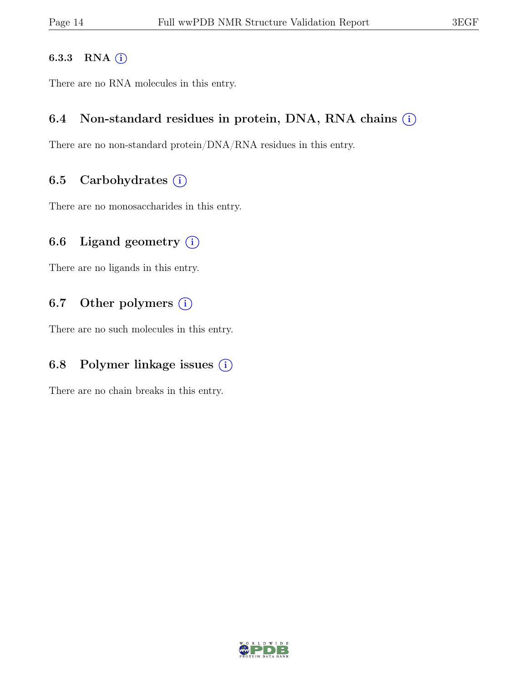#### 6.3.3 RNA  $(i)$

There are no RNA molecules in this entry.

### 6.4 Non-standard residues in protein, DNA, RNA chains  $(i)$

There are no non-standard protein/DNA/RNA residues in this entry.

#### 6.5 Carbohydrates  $(i)$

There are no monosaccharides in this entry.

### 6.6 Ligand geometry  $(i)$

There are no ligands in this entry.

### 6.7 Other polymers  $(i)$

There are no such molecules in this entry.

### 6.8 Polymer linkage issues  $(i)$

There are no chain breaks in this entry.